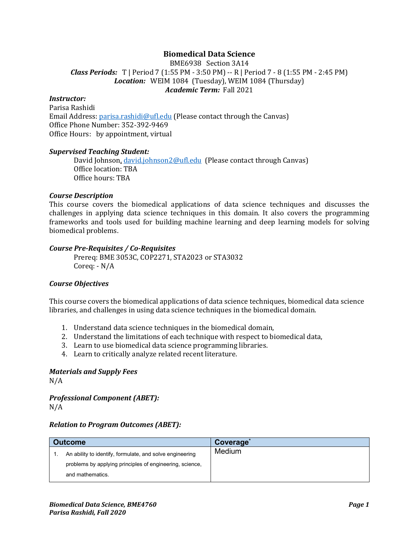# **Biomedical Data Science**

BME6938 Section 3A14 *Class Periods:* T | Period 7 (1:55 PM - 3:50 PM) -- R | Period 7 - 8 (1:55 PM - 2:45 PM) *Location:* WEIM 1084 (Tuesday), WEIM 1084 (Thursday) *Academic Term:* Fall 2021

#### *Instructor:*

Parisa Rashidi Email Address: [parisa.rashidi@ufl.edu](mailto:parisa.rashidi@ufl.edu) (Please contact through the Canvas) Office Phone Number: 352-392-9469 Office Hours: by appointment, virtual

#### *Supervised Teaching Student:*

David Johnson, [david.johnson2@ufl.edu](mailto:david.johnson2@ufl.edu) (Please contact through Canvas) Office location: TBA Office hours: TBA

#### *Course Description*

This course covers the biomedical applications of data science techniques and discusses the challenges in applying data science techniques in this domain. It also covers the programming frameworks and tools used for building machine learning and deep learning models for solving biomedical problems.

#### *Course Pre-Requisites / Co-Requisites*

Prereq: BME 3053C, COP2271, STA2023 or STA3032 Coreq: - N/A

#### *Course Objectives*

This course covers the biomedical applications of data science techniques, biomedical data science libraries, and challenges in using data science techniques in the biomedical domain.

- 1. Understand data science techniques in the biomedical domain,
- 2. Understand the limitations of each technique with respect to biomedical data,
- 3. Learn to use biomedical data science programming libraries.
- 4. Learn to critically analyze related recent literature.

### *Materials and Supply Fees*

N/A

*Professional Component (ABET):* N/A

#### *Relation to Program Outcomes (ABET):*

| <b>Outcome</b> |                                                          | Coverage |
|----------------|----------------------------------------------------------|----------|
|                | An ability to identify, formulate, and solve engineering | Medium   |
|                | problems by applying principles of engineering, science, |          |
|                | and mathematics.                                         |          |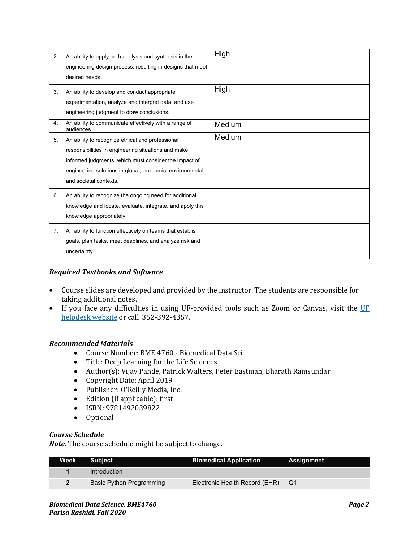| 2. | An ability to apply both analysis and synthesis in the<br>engineering design process, resulting in designs that meet<br>desired needs.                                                                                                                  | High   |
|----|---------------------------------------------------------------------------------------------------------------------------------------------------------------------------------------------------------------------------------------------------------|--------|
| 3. | An ability to develop and conduct appropriate<br>experimentation, analyze and interpret data, and use<br>engineering judgment to draw conclusions.                                                                                                      | High   |
| 4. | An ability to communicate effectively with a range of<br>audiences                                                                                                                                                                                      | Medium |
| 5. | An ability to recognize ethical and professional<br>responsibilities in engineering situations and make<br>informed judgments, which must consider the impact of<br>engineering solutions in global, economic, environmental,<br>and societal contexts. | Medium |
| 6. | An ability to recognize the ongoing need for additional<br>knowledge and locate, evaluate, integrate, and apply this<br>knowledge appropriately.                                                                                                        |        |
| 7. | An ability to function effectively on teams that establish<br>goals, plan tasks, meet deadlines, and analyze risk and<br>uncertainty                                                                                                                    |        |

# *Required Textbooks and Software*

- Course slides are developed and provided by the instructor. The students are responsible for taking additional notes.
- If you face any difficulties in using UF-provided tools such as Zoom or Canvas, visit the UF helpdesk website or call 352-392-4357.

# *Recommended Materials*

- Course Number: BME 4760 Biomedical Data Sci
- Title: Deep Learning for the Life Sciences
- Author(s): Vijay Pande, Patrick Walters, Peter Eastman, Bharath Ramsundar
- Copyright Date: April 2019
- Publisher: O'Reilly Media, Inc.
- Edition (if applicable): first
- ISBN: 9781492039822
- Optional

#### *Course Schedule*

*Note.* The course schedule might be subject to change.

| <b>Week Subject</b>      | <b>Biomedical Application</b>  | Assignment |
|--------------------------|--------------------------------|------------|
| <b>Introduction</b>      |                                |            |
| Basic Python Programming | Electronic Health Record (EHR) | / Q1       |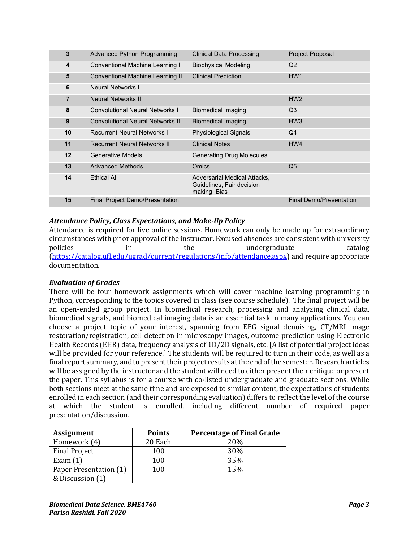| $\mathbf{3}$   | <b>Advanced Python Programming</b>      | <b>Clinical Data Processing</b>                                           | Project Proposal               |
|----------------|-----------------------------------------|---------------------------------------------------------------------------|--------------------------------|
| 4              | Conventional Machine Learning I         | <b>Biophysical Modeling</b>                                               | Q <sub>2</sub>                 |
| 5              | Conventional Machine Learning II        | <b>Clinical Prediction</b>                                                | HW <sub>1</sub>                |
| 6              | <b>Neural Networks I</b>                |                                                                           |                                |
| $\overline{7}$ | Neural Networks II                      |                                                                           | HW2                            |
| 8              | <b>Convolutional Neural Networks I</b>  | <b>Biomedical Imaging</b>                                                 | Q <sub>3</sub>                 |
| 9              | <b>Convolutional Neural Networks II</b> | <b>Biomedical Imaging</b>                                                 | HW <sub>3</sub>                |
| 10             | <b>Recurrent Neural Networks I</b>      | <b>Physiological Signals</b>                                              | Q <sub>4</sub>                 |
| 11             | <b>Recurrent Neural Networks II</b>     | <b>Clinical Notes</b>                                                     | HW4                            |
| 12             | <b>Generative Models</b>                | <b>Generating Drug Molecules</b>                                          |                                |
| 13             | <b>Advanced Methods</b>                 | <b>Omics</b>                                                              | Q <sub>5</sub>                 |
| 14             | <b>Fthical AI</b>                       | Adversarial Medical Attacks,<br>Guidelines, Fair decision<br>making, Bias |                                |
| 15             | <b>Final Project Demo/Presentation</b>  |                                                                           | <b>Final Demo/Presentation</b> |

# *Attendance Policy, Class Expectations, and Make-Up Policy*

Attendance is required for live online sessions. Homework can only be made up for extraordinary circumstances with prior approval of the instructor. Excused absences are consistent with university policies in the undergraduate catalog [\(https://catalog.ufl.edu/ugrad/current/regulations/info/attendance.aspx\)](https://catalog.ufl.edu/ugrad/current/regulations/info/attendance.aspx) and require appropriate documentation.

# *Evaluation of Grades*

There will be four homework assignments which will cover machine learning programming in Python, corresponding to the topics covered in class (see course schedule). The final project will be an open-ended group project. In biomedical research, processing and analyzing clinical data, biomedical signals, and biomedical imaging data is an essential task in many applications. You can choose a project topic of your interest, spanning from EEG signal denoising, CT/MRI image restoration/registration, cell detection in microscopy images, outcome prediction using Electronic Health Records (EHR) data, frequency analysis of 1D/2D signals, etc. [A list of potential project ideas will be provided for your reference.] The students will be required to turn in their code, as well as a final report summary, and to present their project results at the end of the semester. Research articles will be assigned by the instructor and the student will need to either present their critique or present the paper. This syllabus is for a course with co-listed undergraduate and graduate sections. While both sections meet at the same time and are exposed to similar content, the expectations of students enrolled in each section (and their corresponding evaluation) differs to reflect the level of the course at which the student is enrolled, including different number of required paper presentation/discussion.

| <b>Assignment</b>      | <b>Points</b> | <b>Percentage of Final Grade</b> |
|------------------------|---------------|----------------------------------|
| Homework (4)           | 20 Each       | 20%                              |
| <b>Final Project</b>   | 100           | 30%                              |
| Exam $(1)$             | 100           | 35%                              |
| Paper Presentation (1) | 100           | 15%                              |
| & Discussion (1)       |               |                                  |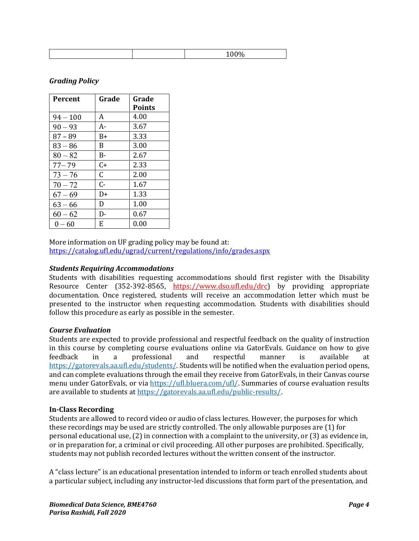| <b>Percent</b> | Grade     | Grade         |
|----------------|-----------|---------------|
|                |           | <b>Points</b> |
| $94 - 100$     | A         | 4.00          |
| $90 - 93$      | A-        | 3.67          |
| $87 - 89$      | B+        | 3.33          |
| $83 - 86$      | B         | 3.00          |
| $80 - 82$      | $B-$      | 2.67          |
| $77 - 79$      | $C_{\pm}$ | 2.33          |
| $73 - 76$      | C         | 2.00          |
| $70 - 72$      | $C-$      | 1.67          |
| $67 - 69$      | D+        | 1.33          |
| $63 - 66$      | D         | 1.00          |
| $60 - 62$      | D-        | 0.67          |
| $0 - 60$       | E.        | 0.00          |

# *Grading Policy*

More information on UF grading policy may be found at: <https://catalog.ufl.edu/ugrad/current/regulations/info/grades.aspx>

# *Students Requiring Accommodations*

Students with disabilities requesting accommodations should first register with the Disability Resource Center (352-392-8565, https://www.dso.ufl.edu/drc) by providing appropriate documentation. Once registered, students will receive an accommodation letter which must be presented to the instructor when requesting accommodation. Students with disabilities should follow this procedure as early as possible in the semester.

#### *Course Evaluation*

Students are expected to provide professional and respectful feedback on the quality of instruction in this course by completing course evaluations online via GatorEvals. Guidance on how to give feedback in a professional and respectful manner is available at feedback in a professional and respectful manner is available at [https://gatorevals.aa.ufl.edu/students/.](https://gatorevals.aa.ufl.edu/students/) Students will be notified when the evaluation period opens, and can complete evaluations through the email they receive from GatorEvals, in their Canvas course menu under GatorEvals, or via [https://ufl.bluera.com/ufl/.](https://ufl.bluera.com/ufl/) Summaries of course evaluation results are available to students a[t https://gatorevals.aa.ufl.edu/public-results/.](https://gatorevals.aa.ufl.edu/public-results/)

# **In-Class Recording**

Students are allowed to record video or audio of class lectures. However, the purposes for which these recordings may be used are strictly controlled. The only allowable purposes are (1) for personal educational use, (2) in connection with a complaint to the university, or (3) as evidence in, or in preparation for, a criminal or civil proceeding. All other purposes are prohibited. Specifically, students may not publish recorded lectures without the written consent of the instructor.

A "class lecture" is an educational presentation intended to inform or teach enrolled students about a particular subject, including any instructor-led discussions that form part of the presentation, and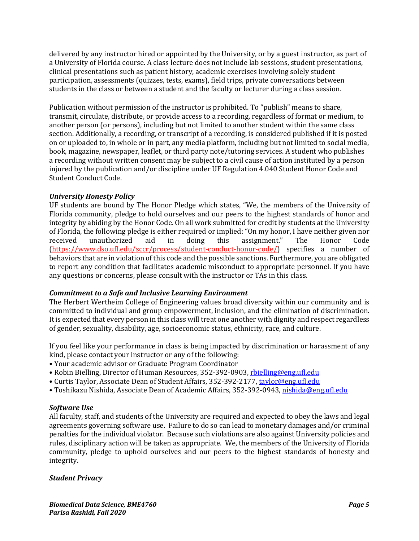delivered by any instructor hired or appointed by the University, or by a guest instructor, as part of a University of Florida course. A class lecture does not include lab sessions, student presentations, clinical presentations such as patient history, academic exercises involving solely student participation, assessments (quizzes, tests, exams), field trips, private conversations between students in the class or between a student and the faculty or lecturer during a class session.

Publication without permission of the instructor is prohibited. To "publish" means to share, transmit, circulate, distribute, or provide access to a recording, regardless of format or medium, to another person (or persons), including but not limited to another student within the same class section. Additionally, a recording, or transcript of a recording, is considered published if it is posted on or uploaded to, in whole or in part, any media platform, including but not limited to social media, book, magazine, newspaper, leaflet, or third party note/tutoring services. A student who publishes a recording without written consent may be subject to a civil cause of action instituted by a person injured by the publication and/or discipline under UF Regulation 4.040 Student Honor Code and Student Conduct Code.

# *University Honesty Policy*

UF students are bound by The Honor Pledge which states, "We, the members of the University of Florida community, pledge to hold ourselves and our peers to the highest standards of honor and integrity by abiding by the Honor Code. On all work submitted for credit by students at the University of Florida, the following pledge is either required or implied: "On my honor, I have neither given nor received unauthorized aid in doing this assignment." The Honor Code received unauthorized aid in doing this assignment." The Honor Code (https://www.dso.ufl.edu/sccr/process/student-conduct-honor-code/) specifies a number of behaviors that are in violation of this code and the possible sanctions. Furthermore, you are obligated to report any condition that facilitates academic misconduct to appropriate personnel. If you have any questions or concerns, please consult with the instructor or TAs in this class.

# *Commitment to a Safe and Inclusive Learning Environment*

The Herbert Wertheim College of Engineering values broad diversity within our community and is committed to individual and group empowerment, inclusion, and the elimination of discrimination. It is expected that every person in this class will treat one another with dignity and respect regardless of gender, sexuality, disability, age, socioeconomic status, ethnicity, race, and culture.

If you feel like your performance in class is being impacted by discrimination or harassment of any kind, please contact your instructor or any of the following:

- Your academic advisor or Graduate Program Coordinator
- Robin Bielling, Director of Human Resources, 352-392-0903, [rbielling@eng.ufl.edu](mailto:rbielling@eng.ufl.edu)
- Curtis Taylor, Associate Dean of Student Affairs, 352-392-2177[, taylor@eng.ufl.edu](mailto:taylor@eng.ufl.edu)
- Toshikazu Nishida, Associate Dean of Academic Affairs, 352-392-0943[, nishida@eng.ufl.edu](mailto:nishida@eng.ufl.edu)

#### *Software Use*

All faculty, staff, and students of the University are required and expected to obey the laws and legal agreements governing software use. Failure to do so can lead to monetary damages and/or criminal penalties for the individual violator. Because such violations are also against University policies and rules, disciplinary action will be taken as appropriate. We, the members of the University of Florida community, pledge to uphold ourselves and our peers to the highest standards of honesty and integrity.

#### *Student Privacy*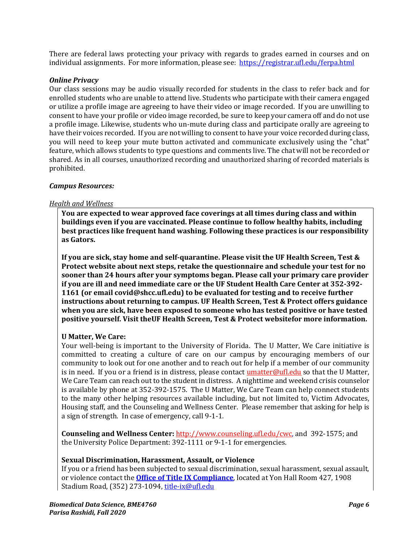There are federal laws protecting your privacy with regards to grades earned in courses and on individual assignments. For more information, please see: <https://registrar.ufl.edu/ferpa.html>

#### *Online Privacy*

Our class sessions may be audio visually recorded for students in the class to refer back and for enrolled students who are unable to attend live. Students who participate with their camera engaged or utilize a profile image are agreeing to have their video or image recorded. If you are unwilling to consent to have your profile or video image recorded, be sure to keep your camera off and do not use a profile image. Likewise, students who un-mute during class and participate orally are agreeing to have their voices recorded. If you are not willing to consent to have your voice recorded during class, you will need to keep your mute button activated and communicate exclusively using the "chat" feature, which allows students to type questions and comments live. The chat will not be recorded or shared. As in all courses, unauthorized recording and unauthorized sharing of recorded materials is prohibited.

#### *Campus Resources:*

#### *Health and Wellness*

**You are expected to wear approved face coverings at all times during class and within buildings even if you are vaccinated. Please continue to follow healthy habits, including best practices like frequent hand washing. Following these practices is our responsibility as Gators.**

**If you are sick, stay home and self-quarantine. Please visit the UF Health Screen, Test & Protect website about next steps, retake the questionnaire and schedule your test for no sooner than 24 hours after your symptoms began. Please call your primary care provider if you are ill and need immediate care or the UF Student Health Care Center at 352-392- 1161 (or email covid@shcc.ufl.edu) to be evaluated for testing and to receive further instructions about returning to campus. UF Health Screen, Test & Protect offers guidance when you are sick, have been exposed to someone who has tested positive or have tested positive yourself. Visit theUF Health Screen, Test & Protect websitefor more information.**

# **U Matter, We Care:**

Your well-being is important to the University of Florida. The U Matter, We Care initiative is committed to creating a culture of care on our campus by encouraging members of our community to look out for one another and to reach out for help if a member of our community is in need. If you or a friend is in distress, please contact *umatter@ufl.edu* so that the U Matter, We Care Team can reach out to the student in distress. A nighttime and weekend crisis counselor is available by phone at 352-392-1575. The U Matter, We Care Team can help connect students to the many other helping resources available including, but not limited to, Victim Advocates, Housing staff, and the Counseling and Wellness Center. Please remember that asking for help is a sign of strength. In case of emergency, call 9-1-1.

**Counseling and Wellness Center:** [http://www.counseling.ufl.edu/cwc,](http://www.counseling.ufl.edu/cwc) and 392-1575; and the University Police Department: 392-1111 or 9-1-1 for emergencies.

# **Sexual Discrimination, Harassment, Assault, or Violence**

If you or a friend has been subjected to sexual discrimination, sexual harassment, sexual assault, or violence contact the **[Office of Title IX Compliance](https://titleix.ufl.edu/)**, located at Yon Hall Room 427, 1908 Stadium Road, (352) 273-1094, [title-ix@ufl.edu](mailto:title-ix@ufl.edu)